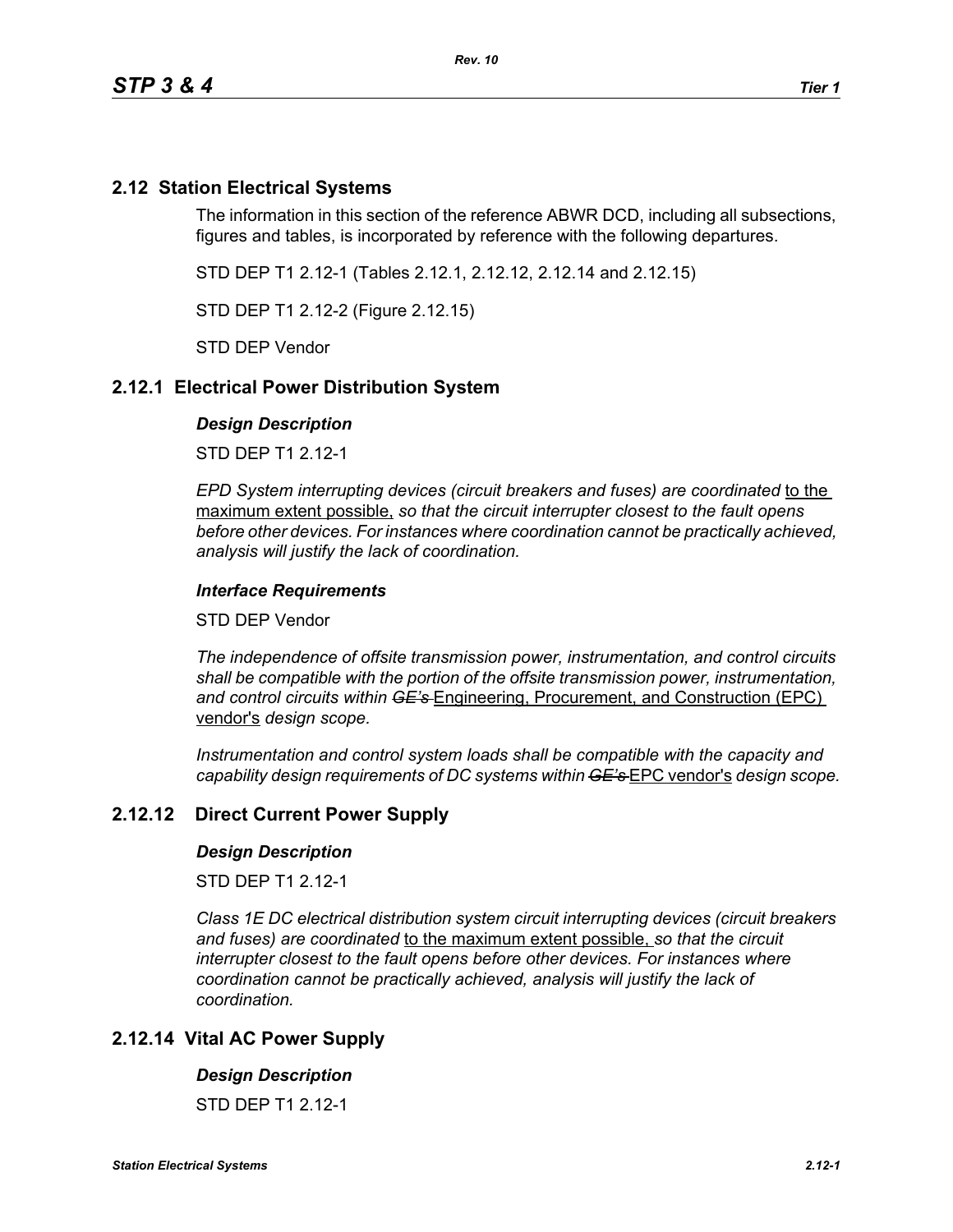# **2.12 Station Electrical Systems**

The information in this section of the reference ABWR DCD, including all subsections, figures and tables, is incorporated by reference with the following departures.

STD DEP T1 2.12-1 (Tables 2.12.1, 2.12.12, 2.12.14 and 2.12.15)

STD DEP T1 2.12-2 (Figure 2.12.15)

STD DEP Vendor

## **2.12.1 Electrical Power Distribution System**

#### *Design Description*

STD DEP T1 2.12-1

*EPD System interrupting devices (circuit breakers and fuses) are coordinated* to the maximum extent possible, *so that the circuit interrupter closest to the fault opens before other devices. For instances where coordination cannot be practically achieved, analysis will justify the lack of coordination.*

### *Interface Requirements*

STD DEP Vendor

*The independence of offsite transmission power, instrumentation, and control circuits shall be compatible with the portion of the offsite transmission power, instrumentation, and control circuits within GE's* Engineering, Procurement, and Construction (EPC) vendor's *design scope.*

*Instrumentation and control system loads shall be compatible with the capacity and capability design requirements of DC systems within GE's* EPC vendor's *design scope.*

## **2.12.12 Direct Current Power Supply**

#### *Design Description*

STD DFP T1 2 12-1

*Class 1E DC electrical distribution system circuit interrupting devices (circuit breakers and fuses) are coordinated* to the maximum extent possible, *so that the circuit interrupter closest to the fault opens before other devices. For instances where coordination cannot be practically achieved, analysis will justify the lack of coordination.*

## **2.12.14 Vital AC Power Supply**

#### *Design Description*

STD DFP T1 2 12-1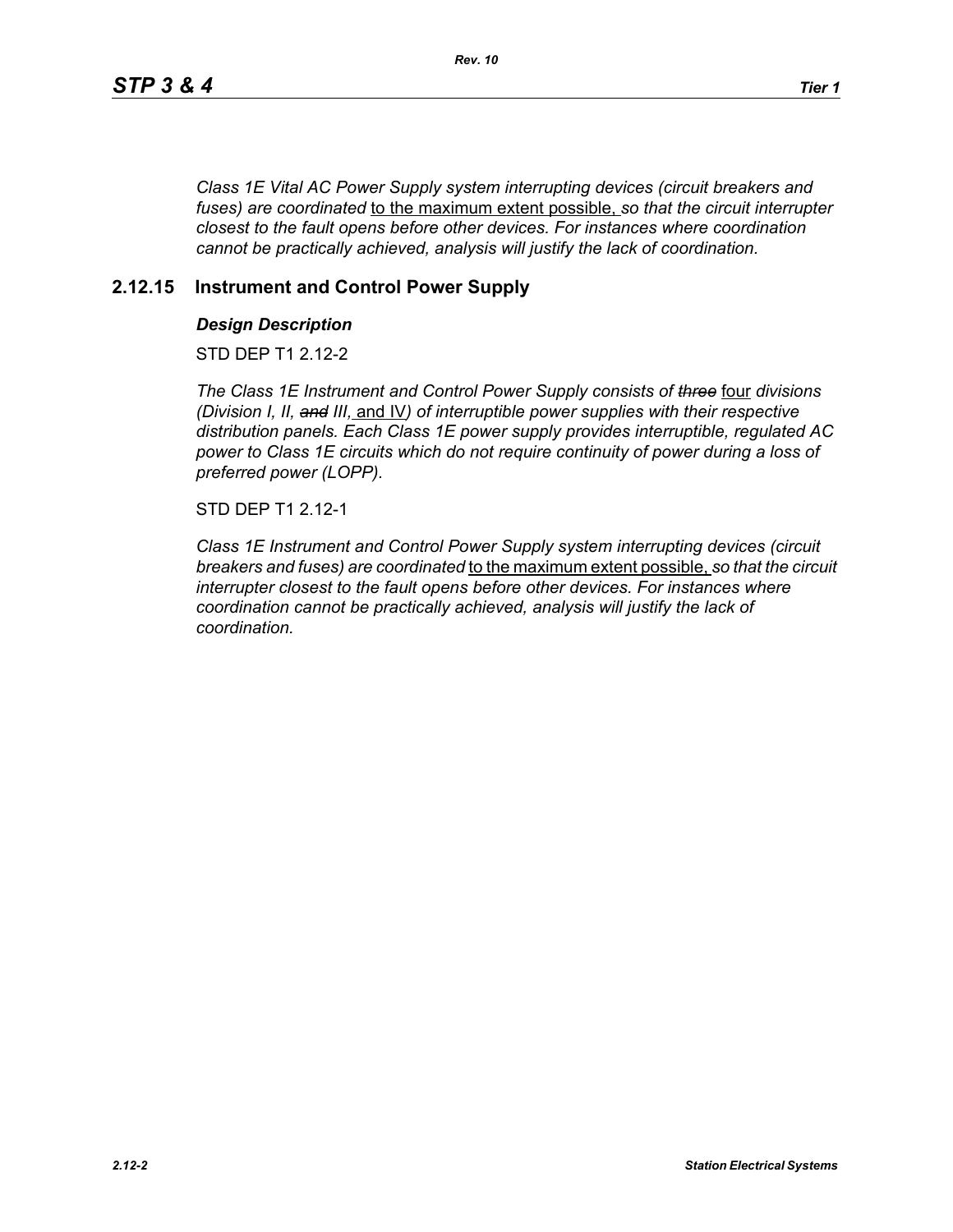*Class 1E Vital AC Power Supply system interrupting devices (circuit breakers and fuses) are coordinated* to the maximum extent possible, *so that the circuit interrupter closest to the fault opens before other devices. For instances where coordination cannot be practically achieved, analysis will justify the lack of coordination.*

# **2.12.15 Instrument and Control Power Supply**

### *Design Description*

STD DFP T1 2 12-2

*The Class 1E Instrument and Control Power Supply consists of three* four *divisions (Division I, II, and III,* and IV*) of interruptible power supplies with their respective distribution panels. Each Class 1E power supply provides interruptible, regulated AC power to Class 1E circuits which do not require continuity of power during a loss of preferred power (LOPP).*

STD DEP T1 2.12-1

*Class 1E Instrument and Control Power Supply system interrupting devices (circuit breakers and fuses) are coordinated* to the maximum extent possible, *so that the circuit interrupter closest to the fault opens before other devices. For instances where coordination cannot be practically achieved, analysis will justify the lack of coordination.*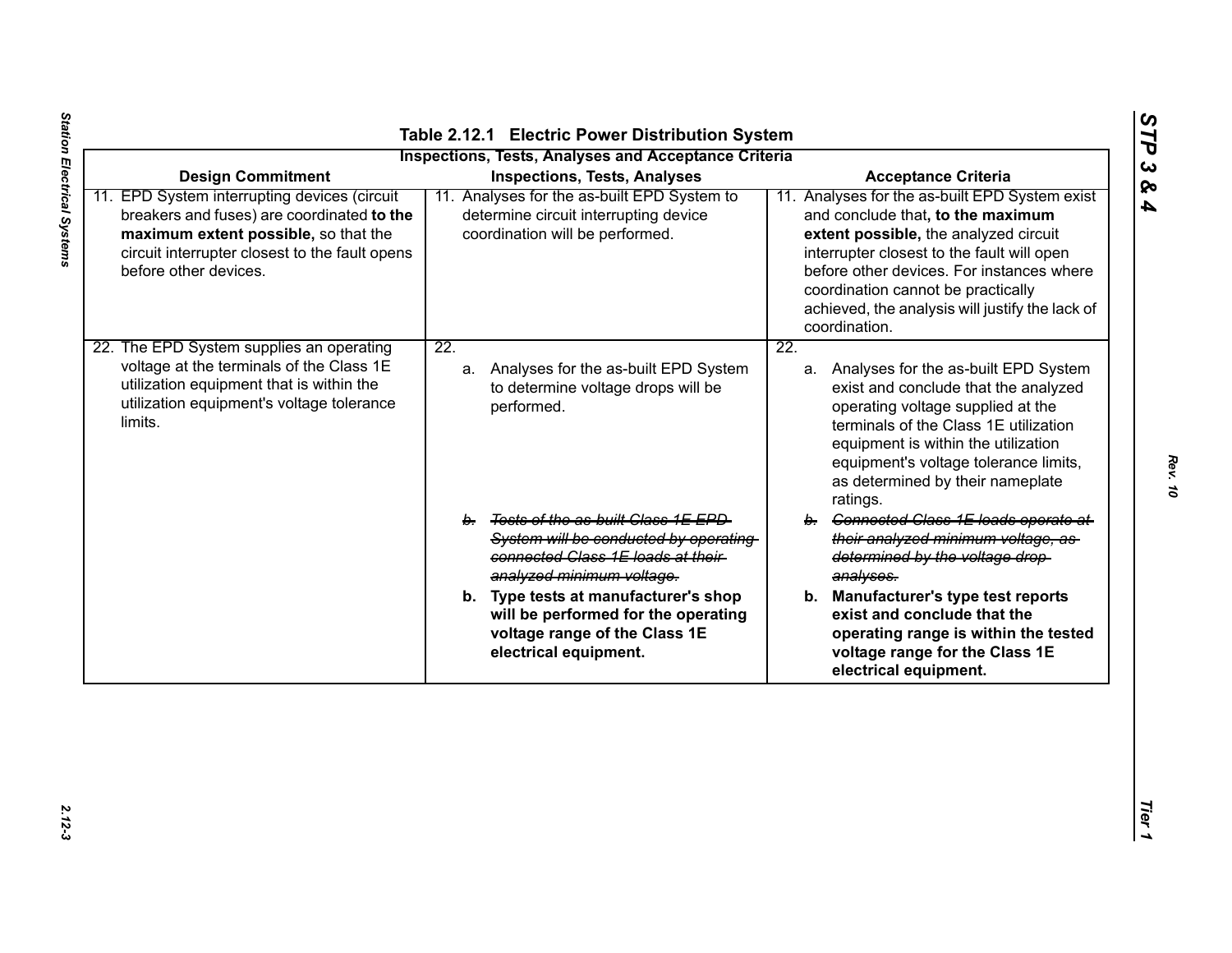|                                                                                                                                                                                                                                           | <b>Inspections, Tests, Analyses and Acceptance Criteria</b>                                                                                                    |                                                                                                                                                                                                                                                                                                                                                                 |
|-------------------------------------------------------------------------------------------------------------------------------------------------------------------------------------------------------------------------------------------|----------------------------------------------------------------------------------------------------------------------------------------------------------------|-----------------------------------------------------------------------------------------------------------------------------------------------------------------------------------------------------------------------------------------------------------------------------------------------------------------------------------------------------------------|
| <b>Design Commitment</b><br>11. EPD System interrupting devices (circuit<br>breakers and fuses) are coordinated to the<br>maximum extent possible, so that the<br>circuit interrupter closest to the fault opens<br>before other devices. | <b>Inspections, Tests, Analyses</b><br>11. Analyses for the as-built EPD System to<br>determine circuit interrupting device<br>coordination will be performed. | <b>Acceptance Criteria</b><br>11. Analyses for the as-built EPD System exist<br>and conclude that, to the maximum<br>extent possible, the analyzed circuit<br>interrupter closest to the fault will open<br>before other devices. For instances where<br>coordination cannot be practically<br>achieved, the analysis will justify the lack of<br>coordination. |
| 22. The EPD System supplies an operating<br>voltage at the terminals of the Class 1E<br>utilization equipment that is within the<br>utilization equipment's voltage tolerance<br>limits.                                                  | $\overline{22}$ .<br>a. Analyses for the as-built EPD System<br>to determine voltage drops will be<br>performed.                                               | $\overline{22}$ .<br>a. Analyses for the as-built EPD System<br>exist and conclude that the analyzed<br>operating voltage supplied at the<br>terminals of the Class 1E utilization<br>equipment is within the utilization<br>equipment's voltage tolerance limits,<br>as determined by their nameplate<br>ratings.                                              |
|                                                                                                                                                                                                                                           | b. Tests of the as-built Class 1E EPD<br>System will be conducted by operating<br>connected Class 1E loads at their<br>analyzed minimum voltage.               | b. Connected Class 1E loads operate at<br>their analyzed minimum voltage, as<br>determined by the voltage drop-<br>analyses.                                                                                                                                                                                                                                    |
|                                                                                                                                                                                                                                           | b. Type tests at manufacturer's shop<br>will be performed for the operating<br>voltage range of the Class 1E<br>electrical equipment.                          | b. Manufacturer's type test reports<br>exist and conclude that the<br>operating range is within the tested<br>voltage range for the Class 1E<br>electrical equipment.                                                                                                                                                                                           |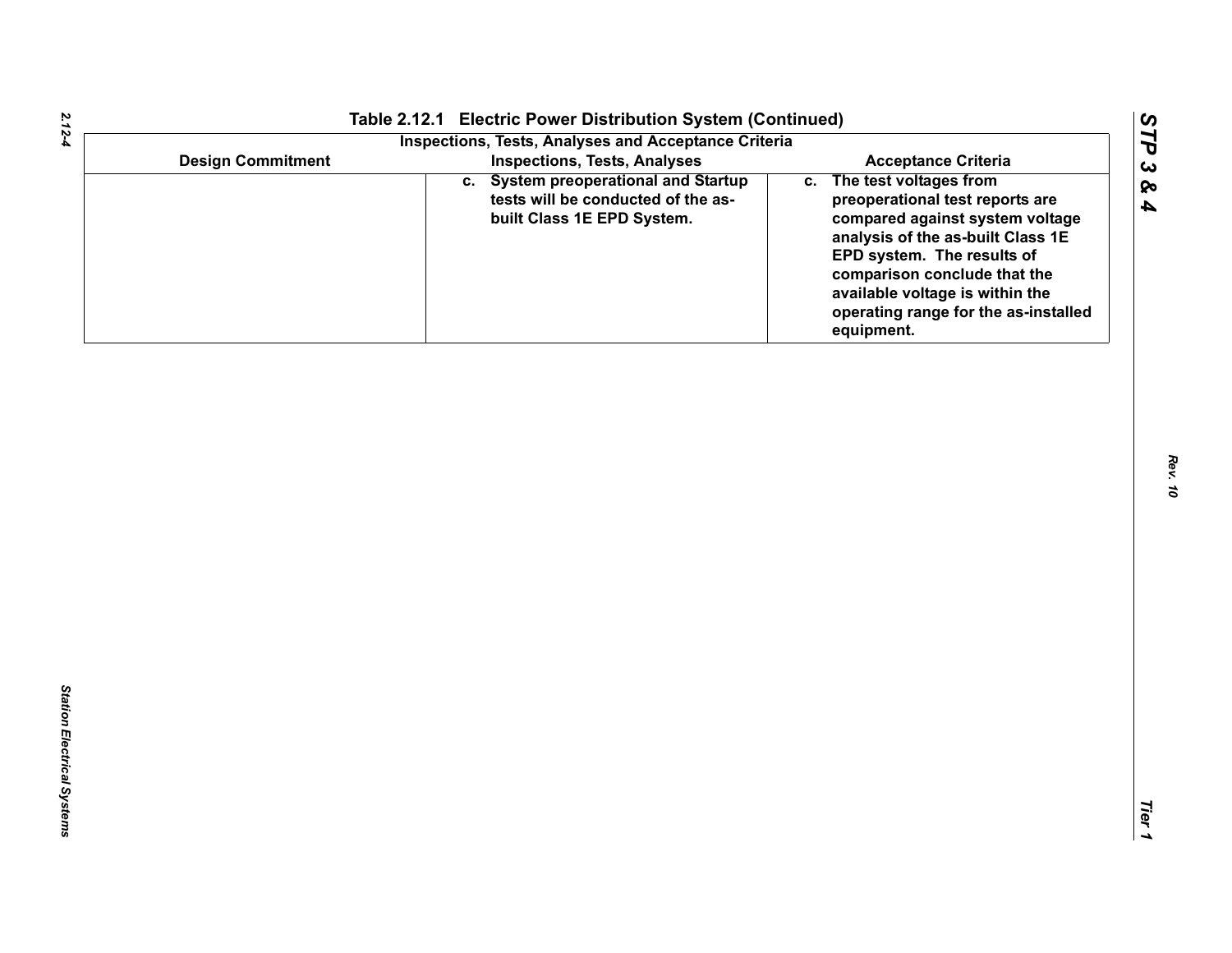|                          | Table 2.12.1 Electric Power Distribution System (Continued)<br><b>Inspections, Tests, Analyses and Acceptance Criteria</b> |                                                                                                                                                                                                                                                                                             |
|--------------------------|----------------------------------------------------------------------------------------------------------------------------|---------------------------------------------------------------------------------------------------------------------------------------------------------------------------------------------------------------------------------------------------------------------------------------------|
| <b>Design Commitment</b> | <b>Inspections, Tests, Analyses</b>                                                                                        | <b>Acceptance Criteria</b>                                                                                                                                                                                                                                                                  |
|                          | c. System preoperational and Startup<br>tests will be conducted of the as-<br>built Class 1E EPD System.                   | c. The test voltages from<br>preoperational test reports are<br>compared against system voltage<br>analysis of the as-built Class 1E<br>EPD system. The results of<br>comparison conclude that the<br>available voltage is within the<br>operating range for the as-installed<br>equipment. |
|                          |                                                                                                                            |                                                                                                                                                                                                                                                                                             |
|                          |                                                                                                                            |                                                                                                                                                                                                                                                                                             |
|                          |                                                                                                                            |                                                                                                                                                                                                                                                                                             |
|                          |                                                                                                                            |                                                                                                                                                                                                                                                                                             |
|                          |                                                                                                                            |                                                                                                                                                                                                                                                                                             |
|                          |                                                                                                                            |                                                                                                                                                                                                                                                                                             |
|                          |                                                                                                                            |                                                                                                                                                                                                                                                                                             |
|                          |                                                                                                                            |                                                                                                                                                                                                                                                                                             |
|                          |                                                                                                                            |                                                                                                                                                                                                                                                                                             |
|                          |                                                                                                                            |                                                                                                                                                                                                                                                                                             |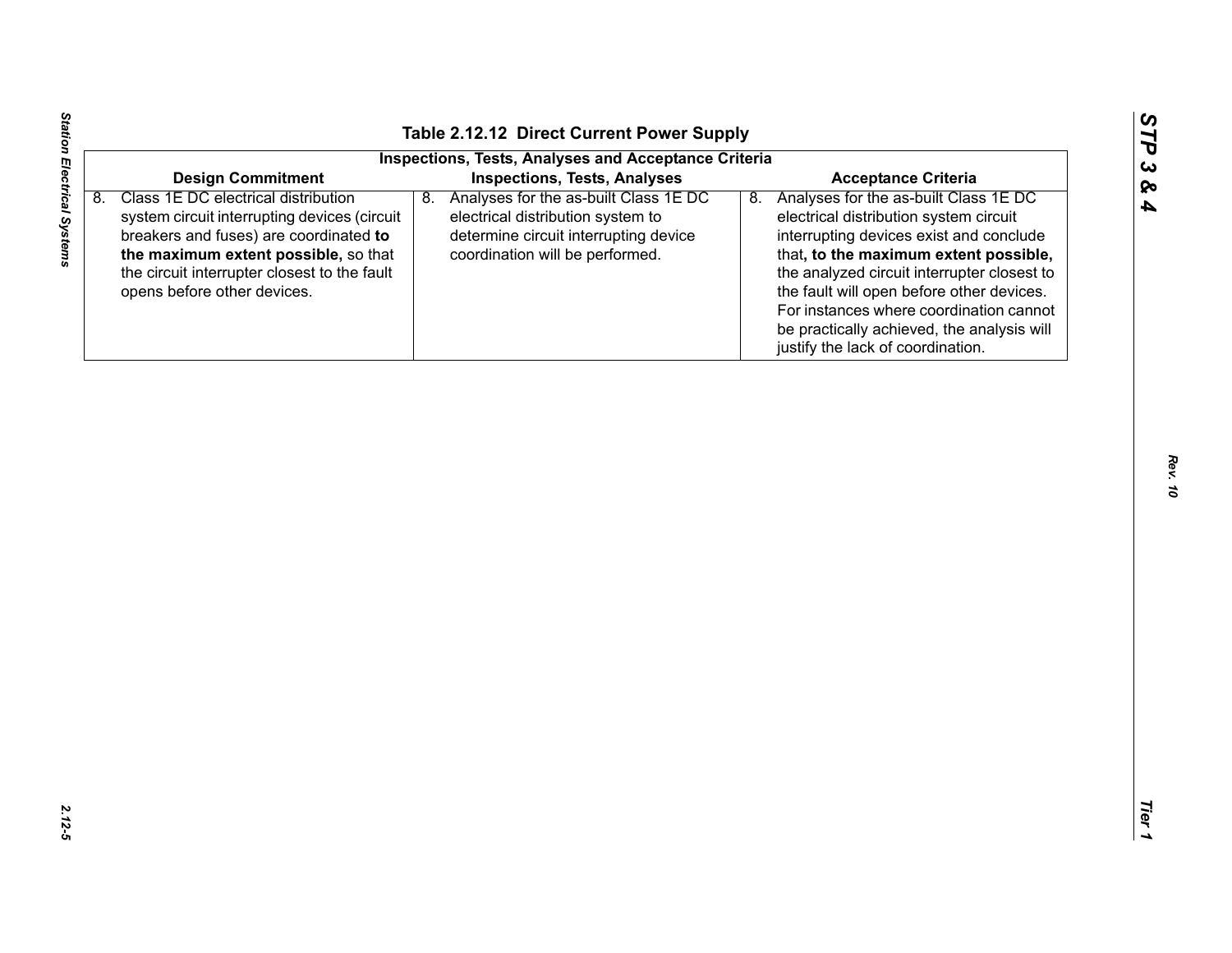| n  |
|----|
| ట  |
| Ø۹ |
| A  |

| 8. | <b>Design Commitment</b><br>Class 1E DC electrical distribution                                                                                                                                               | <b>Inspections, Tests, Analyses and Acceptance Criteria</b><br><b>Inspections, Tests, Analyses</b>                                                           | <b>Acceptance Criteria</b>                                                                                                                                                                                                                                                                                                                                                                          |
|----|---------------------------------------------------------------------------------------------------------------------------------------------------------------------------------------------------------------|--------------------------------------------------------------------------------------------------------------------------------------------------------------|-----------------------------------------------------------------------------------------------------------------------------------------------------------------------------------------------------------------------------------------------------------------------------------------------------------------------------------------------------------------------------------------------------|
|    |                                                                                                                                                                                                               |                                                                                                                                                              |                                                                                                                                                                                                                                                                                                                                                                                                     |
|    |                                                                                                                                                                                                               |                                                                                                                                                              |                                                                                                                                                                                                                                                                                                                                                                                                     |
|    | system circuit interrupting devices (circuit<br>breakers and fuses) are coordinated to<br>the maximum extent possible, so that<br>the circuit interrupter closest to the fault<br>opens before other devices. | Analyses for the as-built Class 1E DC<br>8.<br>electrical distribution system to<br>determine circuit interrupting device<br>coordination will be performed. | Analyses for the as-built Class 1E DC<br>8.<br>electrical distribution system circuit<br>interrupting devices exist and conclude<br>that, to the maximum extent possible,<br>the analyzed circuit interrupter closest to<br>the fault will open before other devices.<br>For instances where coordination cannot<br>be practically achieved, the analysis will<br>justify the lack of coordination. |
|    |                                                                                                                                                                                                               |                                                                                                                                                              |                                                                                                                                                                                                                                                                                                                                                                                                     |

Station Electrical Systems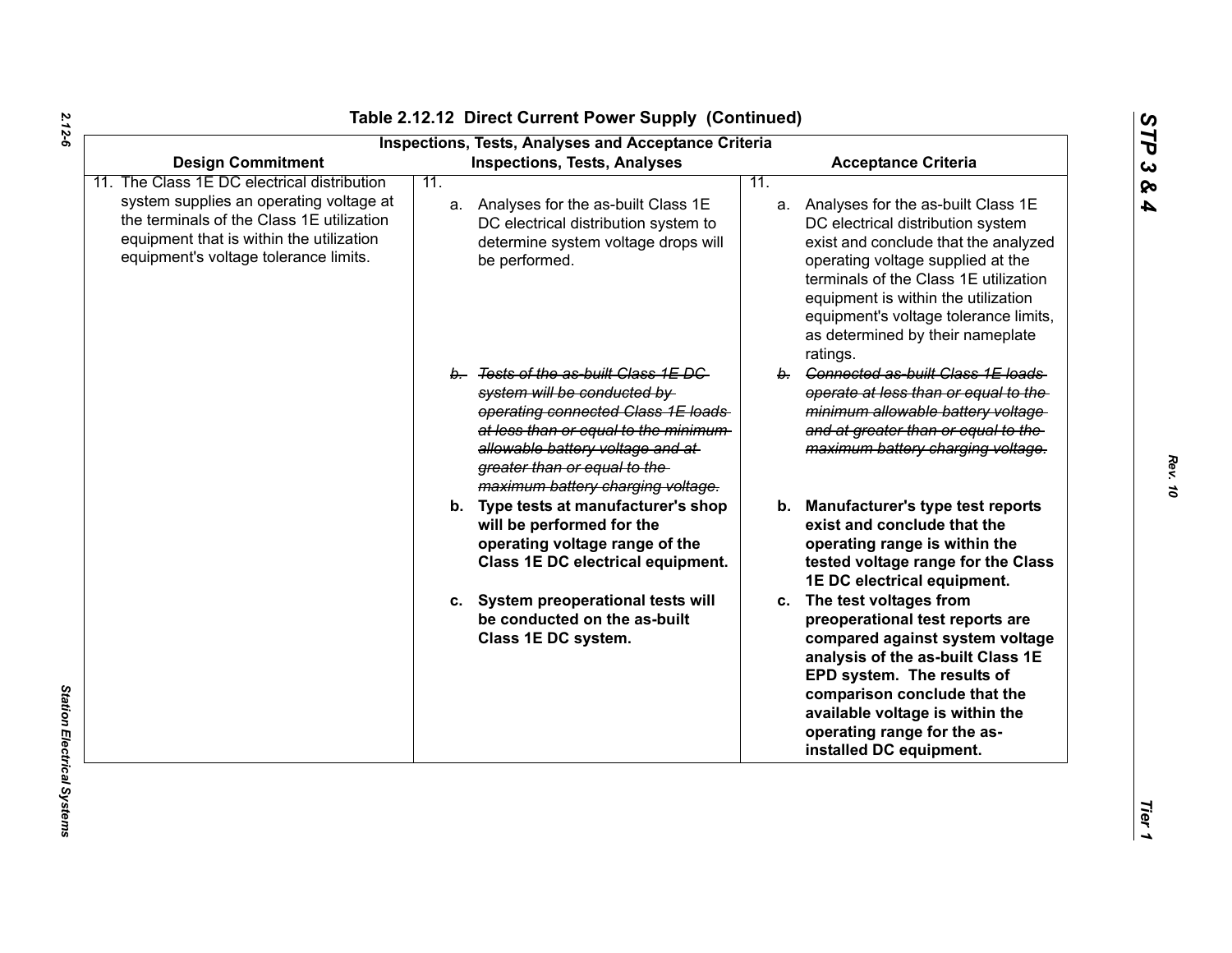| <b>Design Commitment</b>                                                                                                                                                  |     | <b>Inspections, Tests, Analyses and Acceptance Criteria</b><br><b>Inspections, Tests, Analyses</b>                                                                                                                                                           |     | <b>Acceptance Criteria</b>                                                                                                                                                                                                                                                                                                       |  |
|---------------------------------------------------------------------------------------------------------------------------------------------------------------------------|-----|--------------------------------------------------------------------------------------------------------------------------------------------------------------------------------------------------------------------------------------------------------------|-----|----------------------------------------------------------------------------------------------------------------------------------------------------------------------------------------------------------------------------------------------------------------------------------------------------------------------------------|--|
| The Class 1E DC electrical distribution                                                                                                                                   | 11. |                                                                                                                                                                                                                                                              | 11. |                                                                                                                                                                                                                                                                                                                                  |  |
| system supplies an operating voltage at<br>the terminals of the Class 1E utilization<br>equipment that is within the utilization<br>equipment's voltage tolerance limits. |     | a. Analyses for the as-built Class 1E<br>DC electrical distribution system to<br>determine system voltage drops will<br>be performed.                                                                                                                        |     | a. Analyses for the as-built Class 1E<br>DC electrical distribution system<br>exist and conclude that the analyzed<br>operating voltage supplied at the<br>terminals of the Class 1E utilization<br>equipment is within the utilization<br>equipment's voltage tolerance limits,<br>as determined by their nameplate<br>ratings. |  |
|                                                                                                                                                                           |     | b. Tests of the as-built Class 1E DC<br>system will be conducted by<br>operating connected Class 1E loads<br>at less than or equal to the minimum-<br>allowable battery voltage and at-<br>greater than or equal to the<br>maximum battery charging voltage. |     | b. Connected as-built Class 1E loads<br>operate at less than or equal to the<br>minimum allowable battery voltage<br>and at greater than or equal to the<br>maximum battery charging voltage.                                                                                                                                    |  |
|                                                                                                                                                                           |     | b. Type tests at manufacturer's shop<br>will be performed for the<br>operating voltage range of the<br>Class 1E DC electrical equipment.                                                                                                                     |     | b. Manufacturer's type test reports<br>exist and conclude that the<br>operating range is within the<br>tested voltage range for the Class<br>1E DC electrical equipment.                                                                                                                                                         |  |
|                                                                                                                                                                           |     | c. System preoperational tests will<br>be conducted on the as-built<br>Class 1E DC system.                                                                                                                                                                   |     | c. The test voltages from<br>preoperational test reports are<br>compared against system voltage<br>analysis of the as-built Class 1E<br>EPD system. The results of<br>comparison conclude that the<br>available voltage is within the<br>operating range for the as-<br>installed DC equipment.                                  |  |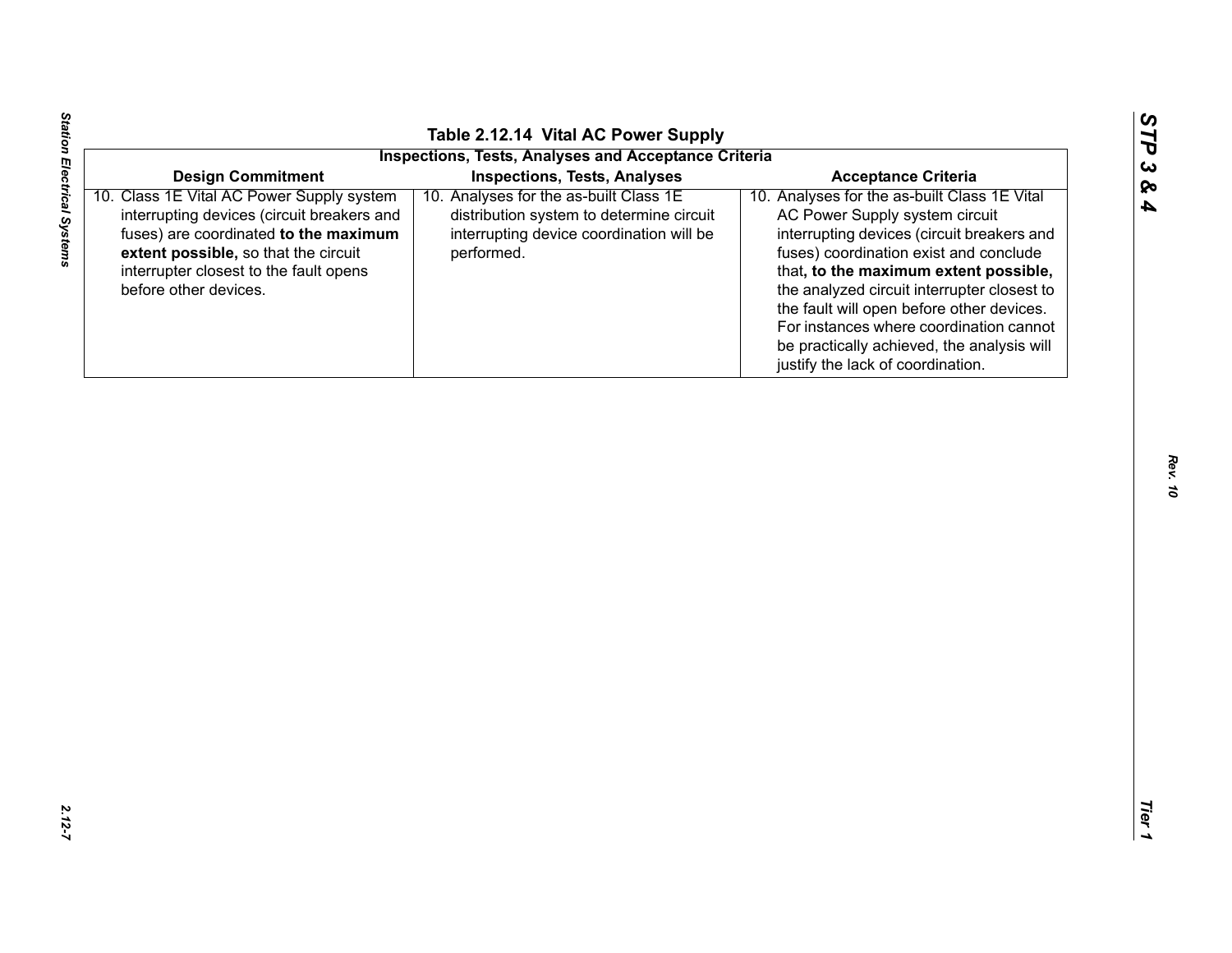|                                                                                                                                                                                                                                                                         | Table 2.12.14 Vital AC Power Supply                                                                                                                                                 |                                                                                                                                                                                                                                                                                                                                                                                                                                                                         |
|-------------------------------------------------------------------------------------------------------------------------------------------------------------------------------------------------------------------------------------------------------------------------|-------------------------------------------------------------------------------------------------------------------------------------------------------------------------------------|-------------------------------------------------------------------------------------------------------------------------------------------------------------------------------------------------------------------------------------------------------------------------------------------------------------------------------------------------------------------------------------------------------------------------------------------------------------------------|
|                                                                                                                                                                                                                                                                         | <b>Inspections, Tests, Analyses and Acceptance Criteria</b>                                                                                                                         |                                                                                                                                                                                                                                                                                                                                                                                                                                                                         |
|                                                                                                                                                                                                                                                                         |                                                                                                                                                                                     |                                                                                                                                                                                                                                                                                                                                                                                                                                                                         |
| <b>Design Commitment</b><br>10. Class 1E Vital AC Power Supply system<br>interrupting devices (circuit breakers and<br>fuses) are coordinated to the maximum<br>extent possible, so that the circuit<br>interrupter closest to the fault opens<br>before other devices. | <b>Inspections, Tests, Analyses</b><br>10. Analyses for the as-built Class 1E<br>distribution system to determine circuit<br>interrupting device coordination will be<br>performed. | <b>Acceptance Criteria</b><br>10. Analyses for the as-built Class 1E Vital<br>AC Power Supply system circuit<br>interrupting devices (circuit breakers and<br>fuses) coordination exist and conclude<br>that, to the maximum extent possible,<br>the analyzed circuit interrupter closest to<br>the fault will open before other devices.<br>For instances where coordination cannot<br>be practically achieved, the analysis will<br>justify the lack of coordination. |
|                                                                                                                                                                                                                                                                         |                                                                                                                                                                                     |                                                                                                                                                                                                                                                                                                                                                                                                                                                                         |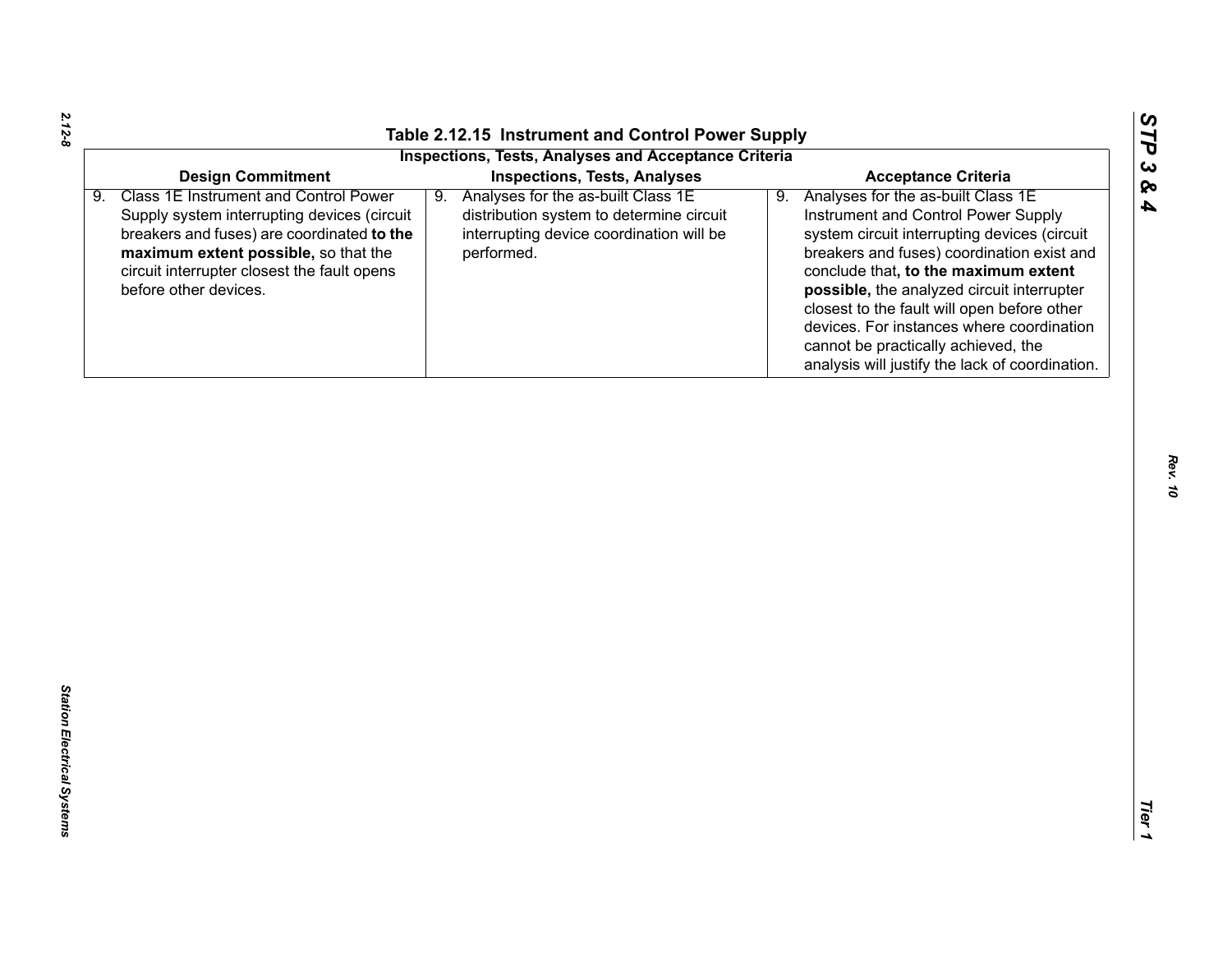| Analyses for the as-built Class 1E<br>Analyses for the as-built Class 1E<br>9.<br>9.<br>Instrument and Control Power Supply<br>Supply system interrupting devices (circuit<br>distribution system to determine circuit<br>breakers and fuses) are coordinated to the<br>interrupting device coordination will be<br>system circuit interrupting devices (circuit<br>maximum extent possible, so that the<br>performed.<br>breakers and fuses) coordination exist and<br>circuit interrupter closest the fault opens<br>conclude that, to the maximum extent<br>before other devices.<br>possible, the analyzed circuit interrupter<br>closest to the fault will open before other<br>devices. For instances where coordination<br>cannot be practically achieved, the<br>analysis will justify the lack of coordination. |                                                                      |                                                                                                    |                            |  |
|--------------------------------------------------------------------------------------------------------------------------------------------------------------------------------------------------------------------------------------------------------------------------------------------------------------------------------------------------------------------------------------------------------------------------------------------------------------------------------------------------------------------------------------------------------------------------------------------------------------------------------------------------------------------------------------------------------------------------------------------------------------------------------------------------------------------------|----------------------------------------------------------------------|----------------------------------------------------------------------------------------------------|----------------------------|--|
|                                                                                                                                                                                                                                                                                                                                                                                                                                                                                                                                                                                                                                                                                                                                                                                                                          | <b>Design Commitment</b><br>9. Class 1E Instrument and Control Power | <b>Inspections, Tests, Analyses and Acceptance Criteria</b><br><b>Inspections, Tests, Analyses</b> | <b>Acceptance Criteria</b> |  |